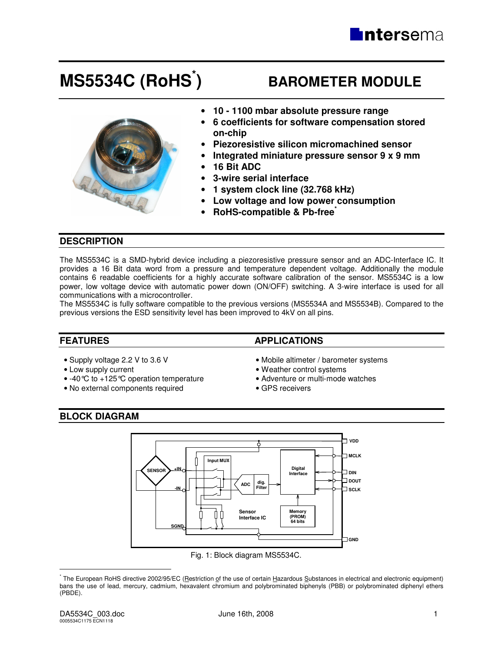# **MS5534C (RoHS\***

# **) BAROMETER MODULE**



- **10 1100 mbar absolute pressure range**
- **6 coefficients for software compensation stored on-chip**
- **Piezoresistive silicon micromachined sensor**
- **Integrated miniature pressure sensor 9 x 9 mm**
- **16 Bit ADC**
- **3-wire serial interface**
- **1 system clock line (32.768 kHz)**
- **Low voltage and low power consumption**
- **RoHS-compatible & Pb-free\***

# **DESCRIPTION**

The MS5534C is a SMD-hybrid device including a piezoresistive pressure sensor and an ADC-Interface IC. It provides a 16 Bit data word from a pressure and temperature dependent voltage. Additionally the module contains 6 readable coefficients for a highly accurate software calibration of the sensor. MS5534C is a low power, low voltage device with automatic power down (ON/OFF) switching. A 3-wire interface is used for all communications with a microcontroller.

The MS5534C is fully software compatible to the previous versions (MS5534A and MS5534B). Compared to the previous versions the ESD sensitivity level has been improved to 4kV on all pins.

- 
- 
- Low supply current Weather control systems<br>• -40 °C to +125 °C operation temperature Adventure or multi-mode watches • -40 °C to +125 °C operation temperature • Adventure or m<br>• No external components required • GPS receivers
- No external components required

# **FEATURES** APPLICATIONS

- Supply voltage 2.2 V to 3.6 V  **Mobile altimeter / barometer systems** 
	-
	-
	-

# **BLOCK DIAGRAM**



Fig. 1: Block diagram MS5534C.

 $\overline{a}$ 

<sup>\*</sup> The European RoHS directive 2002/95/EC (Restriction of the use of certain Hazardous Substances in electrical and electronic equipment) bans the use of lead, mercury, cadmium, hexavalent chromium and polybrominated biphenyls (PBB) or polybrominated diphenyl ethers (PBDE).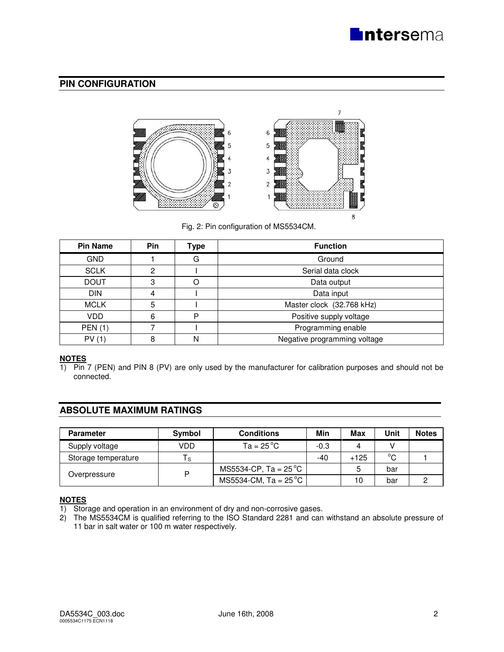

# **PIN CONFIGURATION**



Fig. 2: Pin configuration of MS5534CM.

| <b>Pin Name</b> | <b>Pin</b> | Type | <b>Function</b>              |
|-----------------|------------|------|------------------------------|
| <b>GND</b>      |            | G    | Ground                       |
| <b>SCLK</b>     | 2          |      | Serial data clock            |
| <b>DOUT</b>     | 3          |      | Data output                  |
| <b>DIN</b>      |            |      | Data input                   |
| <b>MCLK</b>     | 5          |      | Master clock (32.768 kHz)    |
| <b>VDD</b>      | 6          | P    | Positive supply voltage      |
| <b>PEN (1)</b>  |            |      | Programming enable           |
| PV(1)           | 8          | Ν    | Negative programming voltage |

# **NOTES**

1) Pin 7 (PEN) and PIN 8 (PV) are only used by the manufacturer for calibration purposes and should not be connected.

# **ABSOLUTE MAXIMUM RATINGS**

| <b>Parameter</b>    | Symbol   | <b>Conditions</b>              | Min    | Max    | Unit        | <b>Notes</b> |
|---------------------|----------|--------------------------------|--------|--------|-------------|--------------|
| Supply voltage      | VDD      | $Ta = 25 °C$                   | $-0.3$ |        |             |              |
| Storage temperature | <b>S</b> |                                | -40    | $+125$ | $^{\circ}C$ |              |
|                     |          | MS5534-CP, Ta = $25^{\circ}$ C |        | 5      | bar         |              |
| Overpressure        |          | MS5534-CM, Ta = $25^{\circ}$ C |        | 10     | bar         |              |

# **NOTES**<br>1) Stor

Storage and operation in an environment of dry and non-corrosive gases.

2) The MS5534CM is qualified referring to the ISO Standard 2281 and can withstand an absolute pressure of 11 bar in salt water or 100 m water respectively.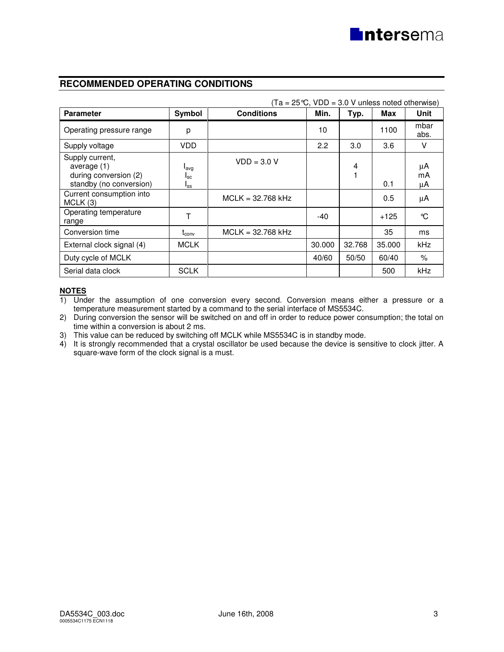# **RECOMMENDED OPERATING CONDITIONS**

|                                                                                      |                              |                     | $(Ta = 25^{\circ}C, VDD = 3.0 V$ unless noted otherwise) |        |        |                |
|--------------------------------------------------------------------------------------|------------------------------|---------------------|----------------------------------------------------------|--------|--------|----------------|
| <b>Parameter</b>                                                                     | Symbol                       | <b>Conditions</b>   | Min.                                                     | Typ.   | Max    | Unit           |
| Operating pressure range                                                             | р                            |                     | 10                                                       |        | 1100   | mbar<br>abs.   |
| Supply voltage                                                                       | VDD.                         |                     | 2.2                                                      | 3.0    | 3.6    | V              |
| Supply current,<br>average $(1)$<br>during conversion (2)<br>standby (no conversion) | lavg<br>$I_{SC}$<br>$I_{SS}$ | $VDD = 3.0 V$       |                                                          | 4<br>1 | 0.1    | μA<br>mA<br>μA |
| Current consumption into<br>MCLK(3)                                                  |                              | $MCLK = 32.768 kHz$ |                                                          |        | 0.5    | μA             |
| Operating temperature<br>range                                                       | т                            |                     | $-40$                                                    |        | $+125$ | °C             |
| Conversion time                                                                      | $t_{conv}$                   | $MCLK = 32.768 kHz$ |                                                          |        | 35     | ms             |
| External clock signal (4)                                                            | <b>MCLK</b>                  |                     | 30.000                                                   | 32.768 | 35,000 | <b>kHz</b>     |
| Duty cycle of MCLK                                                                   |                              |                     | 40/60                                                    | 50/50  | 60/40  | $\%$           |
| Serial data clock                                                                    | <b>SCLK</b>                  |                     |                                                          |        | 500    | kHz            |

# **NOTES**<br>1) Und

Under the assumption of one conversion every second. Conversion means either a pressure or a temperature measurement started by a command to the serial interface of MS5534C.

- 2) During conversion the sensor will be switched on and off in order to reduce power consumption; the total on time within a conversion is about 2 ms.
- 3) This value can be reduced by switching off MCLK while MS5534C is in standby mode.
- 4) It is strongly recommended that a crystal oscillator be used because the device is sensitive to clock jitter. A square-wave form of the clock signal is a must.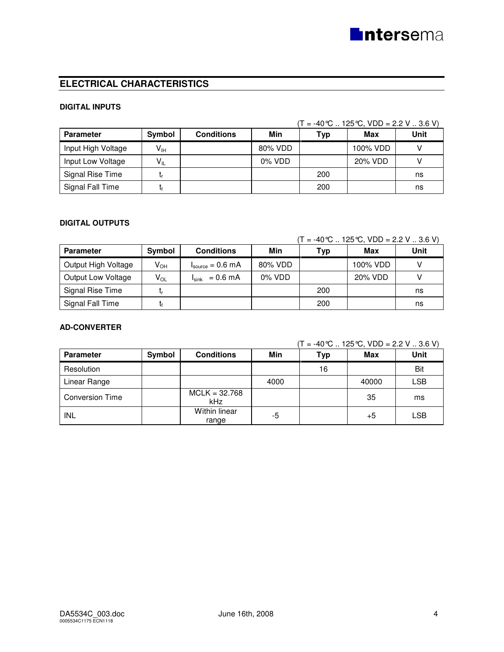# **ELECTRICAL CHARACTERISTICS**

#### **DIGITAL INPUTS**

|                    |                            |                   |         |     | $T = -40^{\circ}C$ 125 °C, VDD = 2.2 V  3.6 V) |      |
|--------------------|----------------------------|-------------------|---------|-----|------------------------------------------------|------|
| <b>Parameter</b>   | Symbol                     | <b>Conditions</b> | Min     | Typ | Max                                            | Unit |
| Input High Voltage | $\mathsf{V}_{\mathsf{IH}}$ |                   | 80% VDD |     | 100% VDD                                       |      |
| Input Low Voltage  | $\mathsf{V}_{\mathsf{IL}}$ |                   | 0% VDD  |     | 20% VDD                                        |      |
| Signal Rise Time   |                            |                   |         | 200 |                                                | ns   |
| Signal Fall Time   |                            |                   |         | 200 |                                                | ns   |

# **DIGITAL OUTPUTS**

#### $(T = -40^{\circ}C \dots 125^{\circ}C, VDD = 2.2 V \dots 3.6 V)$

| <b>Parameter</b>          | Symbol          | <b>Conditions</b>                    | Min       | Typ | Max      | Unit |
|---------------------------|-----------------|--------------------------------------|-----------|-----|----------|------|
| Output High Voltage       | V <sub>он</sub> | $I_{\text{source}} = 0.6 \text{ mA}$ | 80% VDD   |     | 100% VDD |      |
| <b>Output Low Voltage</b> | $V_{OL}$        | $I_{\text{sink}} = 0.6 \text{ mA}$   | $0\%$ VDD |     | 20% VDD  |      |
| Signal Rise Time          |                 |                                      |           | 200 |          | ns   |
| Signal Fall Time          |                 |                                      |           | 200 |          | ns   |

# **AD-CONVERTER**

 $(T = -40^{\circ}C \dots 125^{\circ}C, VDD = 2.2 V \dots 3.6 V)$ 

| <b>Parameter</b>       | Symbol | <b>Conditions</b>      | Min  | Typ | Max   | <b>Unit</b> |
|------------------------|--------|------------------------|------|-----|-------|-------------|
| Resolution             |        |                        |      | 16  |       | Bit         |
| Linear Range           |        |                        | 4000 |     | 40000 | <b>LSB</b>  |
| <b>Conversion Time</b> |        | $MCLK = 32.768$<br>kHz |      |     | 35    | ms          |
| INL                    |        | Within linear<br>range | -5   |     | +5    | LSB         |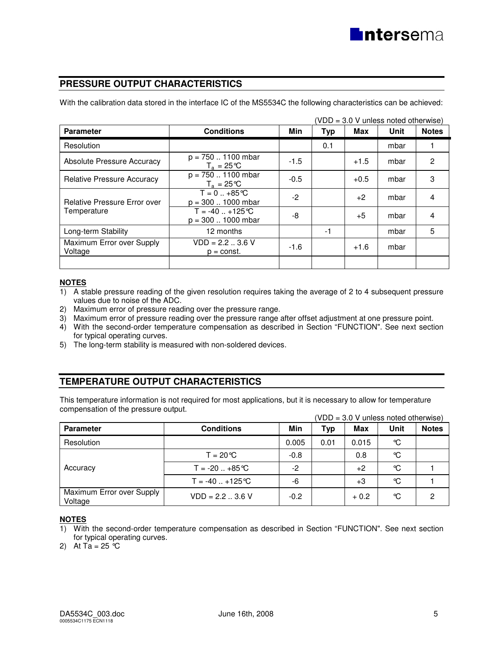# **PRESSURE OUTPUT CHARACTERISTICS**

With the calibration data stored in the interface IC of the MS5534C the following characteristics can be achieved:

| <b>Parameter</b>                     | <b>Conditions</b>                                 | Min    | <b>Typ</b> | Max    | (VDD = 3.0 V unless noted otherwise)<br>Unit | <b>Notes</b>   |
|--------------------------------------|---------------------------------------------------|--------|------------|--------|----------------------------------------------|----------------|
| Resolution                           |                                                   |        | 0.1        |        | mbar                                         |                |
| <b>Absolute Pressure Accuracy</b>    | $p = 750$ 1100 mbar<br>$T_a = 25^{\circ}C$        | $-1.5$ |            | $+1.5$ | mbar                                         | 2              |
| <b>Relative Pressure Accuracy</b>    | $p = 750$ 1100 mbar<br>$T_a = 25^{\circ}C$        | $-0.5$ |            | $+0.5$ | mbar                                         | 3              |
| <b>Relative Pressure Error over</b>  | $T = 0  +85$ °C<br>$p = 300$ $\ldots$ 1000 mbar   | $-2$   |            | $+2$   | mbar                                         | 4              |
| Temperature                          | $T = -40$ +125 °C<br>$p = 300$ $\ldots$ 1000 mbar | -8     |            | $+5$   | mbar                                         | $\overline{4}$ |
| Long-term Stability                  | 12 months                                         |        | $-1$       |        | mbar                                         | 5              |
| Maximum Error over Supply<br>Voltage | $VDD = 2.23.6 V$<br>$p = const.$                  | $-1.6$ |            | $+1.6$ | mbar                                         |                |
|                                      |                                                   |        |            |        |                                              |                |

### **NOTES**

1) A stable pressure reading of the given resolution requires taking the average of 2 to 4 subsequent pressure values due to noise of the ADC.

- 2) Maximum error of pressure reading over the pressure range.
- 3) Maximum error of pressure reading over the pressure range after offset adjustment at one pressure point.
- 4) With the second-order temperature compensation as described in Section "FUNCTION". See next section for typical operating curves.
- 5) The long-term stability is measured with non-soldered devices.

# **TEMPERATURE OUTPUT CHARACTERISTICS**

This temperature information is not required for most applications, but it is necessary to allow for temperature compensation of the pressure output.  $(1000 - 3.0)$  under  $(1000 - 3.0)$ 

|                                      |                           |        |      |        | (VDD = 3.0 V unless noted otherwise) |              |
|--------------------------------------|---------------------------|--------|------|--------|--------------------------------------|--------------|
| <b>Parameter</b>                     | <b>Conditions</b>         | Min    | Тур  | Max    | Unit                                 | <b>Notes</b> |
| Resolution                           |                           | 0.005  | 0.01 | 0.015  | $\mathrm{C}$                         |              |
|                                      | $T = 20^{\circ}C$         | $-0.8$ |      | 0.8    | ℃                                    |              |
| Accuracy                             | $T = -20$ $+85^{\circ}$ C | -2     |      | $+2$   | °C                                   |              |
|                                      | $T = -40+125$ °C          | -6     |      | $+3$   | °C                                   |              |
| Maximum Error over Supply<br>Voltage | $VDD = 2.23.6 V$          | $-0.2$ |      | $+0.2$ | °C                                   | 2            |

### **NOTES**

1) With the second-order temperature compensation as described in Section "FUNCTION". See next section for typical operating curves.

2) At  $Ta = 25 °C$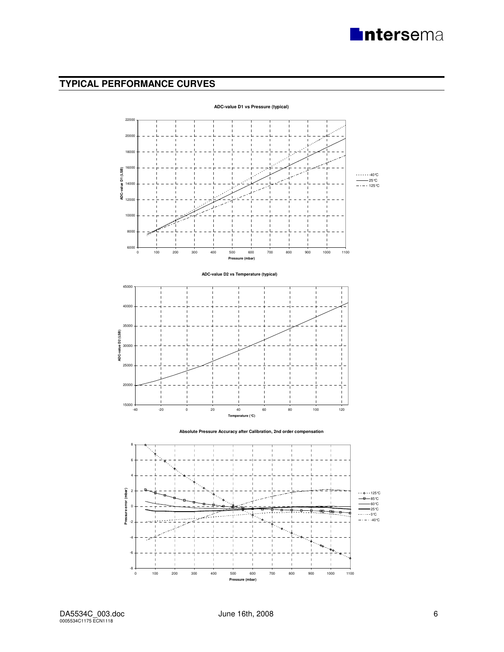# **TYPICAL PERFORMANCE CURVES**

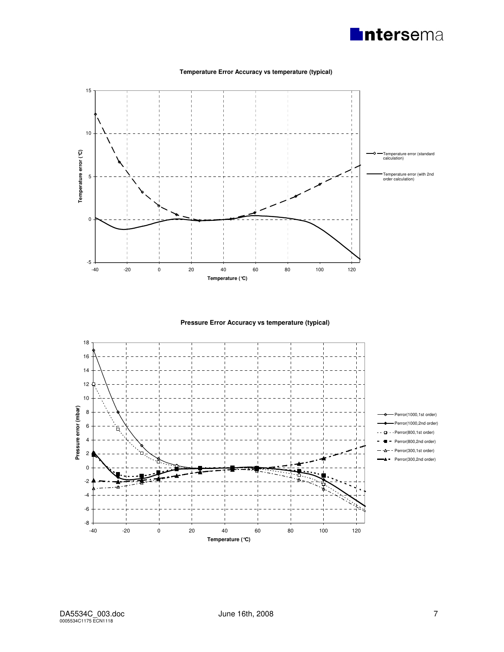

#### **Temperature Error Accuracy vs temperature (typical)**



**Pressure Error Accuracy vs temperature (typical)**

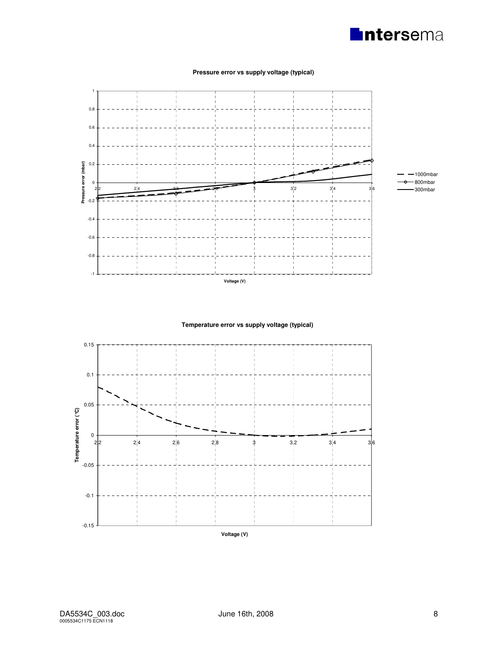



#### **Pressure error vs supply voltage (typical)**

**Temperature error vs supply voltage (typical)**

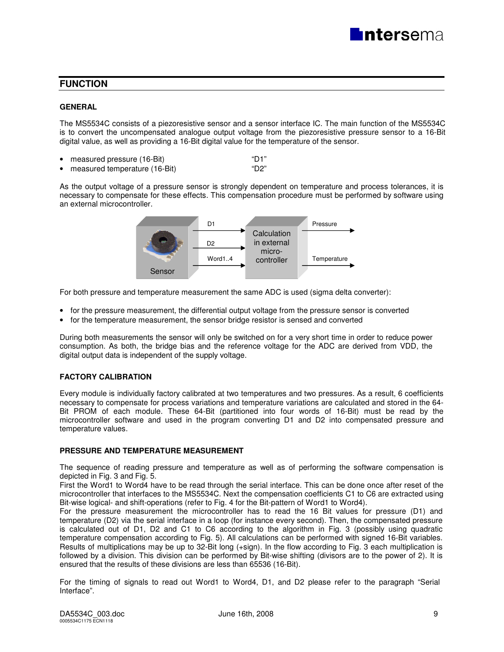# **FUNCTION**

#### **GENERAL**

The MS5534C consists of a piezoresistive sensor and a sensor interface IC. The main function of the MS5534C is to convert the uncompensated analogue output voltage from the piezoresistive pressure sensor to a 16-Bit digital value, as well as providing a 16-Bit digital value for the temperature of the sensor.

- measured pressure (16-Bit) measured pressure (16-Bit)
- measured temperature (16-Bit) "D2"

As the output voltage of a pressure sensor is strongly dependent on temperature and process tolerances, it is necessary to compensate for these effects. This compensation procedure must be performed by software using an external microcontroller.



For both pressure and temperature measurement the same ADC is used (sigma delta converter):

- for the pressure measurement, the differential output voltage from the pressure sensor is converted
- for the temperature measurement, the sensor bridge resistor is sensed and converted

During both measurements the sensor will only be switched on for a very short time in order to reduce power consumption. As both, the bridge bias and the reference voltage for the ADC are derived from VDD, the digital output data is independent of the supply voltage.

#### **FACTORY CALIBRATION**

Every module is individually factory calibrated at two temperatures and two pressures. As a result, 6 coefficients necessary to compensate for process variations and temperature variations are calculated and stored in the 64- Bit PROM of each module. These 64-Bit (partitioned into four words of 16-Bit) must be read by the microcontroller software and used in the program converting D1 and D2 into compensated pressure and temperature values.

#### **PRESSURE AND TEMPERATURE MEASUREMENT**

The sequence of reading pressure and temperature as well as of performing the software compensation is depicted in Fig. 3 and Fig. 5.

First the Word1 to Word4 have to be read through the serial interface. This can be done once after reset of the microcontroller that interfaces to the MS5534C. Next the compensation coefficients C1 to C6 are extracted using Bit-wise logical- and shift-operations (refer to Fig. 4 for the Bit-pattern of Word1 to Word4).

For the pressure measurement the microcontroller has to read the 16 Bit values for pressure (D1) and temperature (D2) via the serial interface in a loop (for instance every second). Then, the compensated pressure is calculated out of D1, D2 and C1 to C6 according to the algorithm in Fig. 3 (possibly using quadratic temperature compensation according to Fig. 5). All calculations can be performed with signed 16-Bit variables. Results of multiplications may be up to 32-Bit long (+sign). In the flow according to Fig. 3 each multiplication is followed by a division. This division can be performed by Bit-wise shifting (divisors are to the power of 2). It is ensured that the results of these divisions are less than 65536 (16-Bit).

For the timing of signals to read out Word1 to Word4, D1, and D2 please refer to the paragraph "Serial Interface".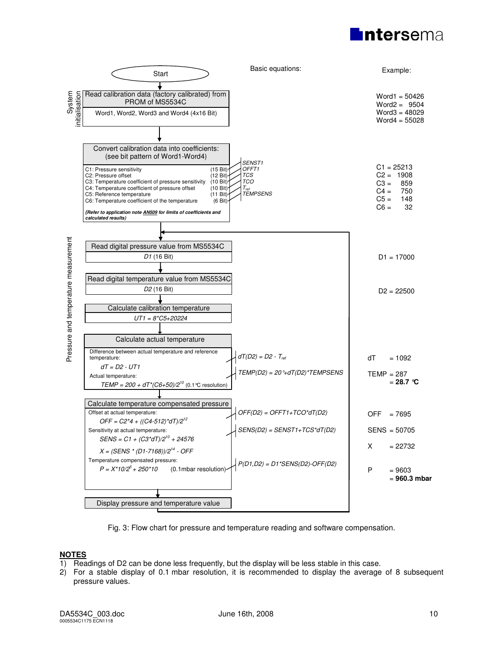



Fig. 3: Flow chart for pressure and temperature reading and software compensation.

# **NOTES**

- 1) Readings of D2 can be done less frequently, but the display will be less stable in this case.
- 2) For a stable display of 0.1 mbar resolution, it is recommended to display the average of 8 subsequent pressure values.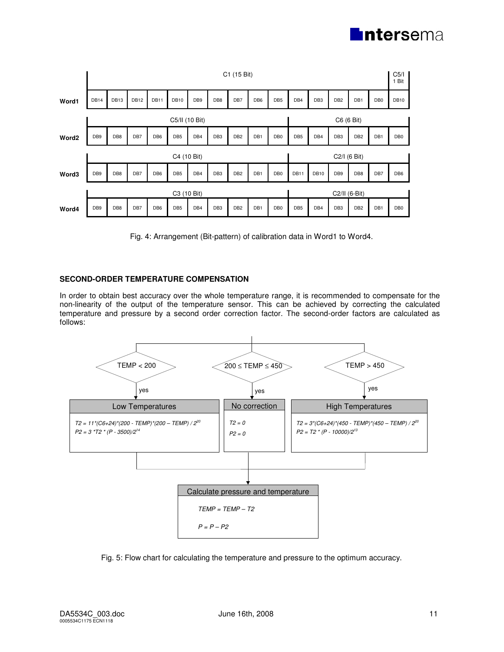

|       |                 |                  |             |                 |                 |                 |                 | C1 (15 Bit)     |                 |                 |                 |                 |                 |                 |                 | C <sub>5</sub> /I<br>Bit<br>1 |
|-------|-----------------|------------------|-------------|-----------------|-----------------|-----------------|-----------------|-----------------|-----------------|-----------------|-----------------|-----------------|-----------------|-----------------|-----------------|-------------------------------|
| Word1 | DB14            | DB <sub>13</sub> | <b>DB12</b> | <b>DB11</b>     | <b>DB10</b>     | DB <sub>9</sub> | DB8             | DB7             | DB <sub>6</sub> | DB <sub>5</sub> | DB4             | DB <sub>3</sub> | DB <sub>2</sub> | DB1             | DB <sub>0</sub> | <b>DB10</b>                   |
|       |                 |                  |             |                 | C5/II (10 Bit)  |                 |                 |                 |                 |                 |                 |                 | C6 (6 Bit)      |                 |                 |                               |
| Word2 | DB <sub>9</sub> | DB8              | DB7         | DB <sub>6</sub> | DB <sub>5</sub> | DB4             | DB <sub>3</sub> | DB <sub>2</sub> | DB <sub>1</sub> | DB <sub>0</sub> | DB <sub>5</sub> | DB4             | DB <sub>3</sub> | DB <sub>2</sub> | DB1             | DB <sub>0</sub>               |
|       |                 |                  |             |                 | C4 (10 Bit)     |                 |                 |                 |                 |                 |                 |                 | C2/I (6 Bit)    |                 |                 |                               |
| Word3 | DB <sub>9</sub> | DB8              | DB7         | DB <sub>6</sub> | DB <sub>5</sub> | DB4             | DB <sub>3</sub> | DB <sub>2</sub> | DB1             | DB <sub>0</sub> | DB11            | <b>DB10</b>     | DB <sub>9</sub> | DB8             | DB7             | DB <sub>6</sub>               |
|       |                 |                  |             |                 | C3 (10 Bit)     |                 |                 |                 |                 |                 |                 |                 | C2/II (6-Bit)   |                 |                 |                               |
| Word4 | DB <sub>9</sub> | DB8              | DB7         | DB <sub>6</sub> | DB <sub>5</sub> | DB4             | DB <sub>3</sub> | DB <sub>2</sub> | DB1             | DB <sub>0</sub> | DB <sub>5</sub> | DB4             | DB <sub>3</sub> | DB <sub>2</sub> | DB1             | DB <sub>0</sub>               |

Fig. 4: Arrangement (Bit-pattern) of calibration data in Word1 to Word4.

#### **SECOND-ORDER TEMPERATURE COMPENSATION**

In order to obtain best accuracy over the whole temperature range, it is recommended to compensate for the non-linearity of the output of the temperature sensor. This can be achieved by correcting the calculated temperature and pressure by a second order correction factor. The second-order factors are calculated as follows:



Fig. 5: Flow chart for calculating the temperature and pressure to the optimum accuracy.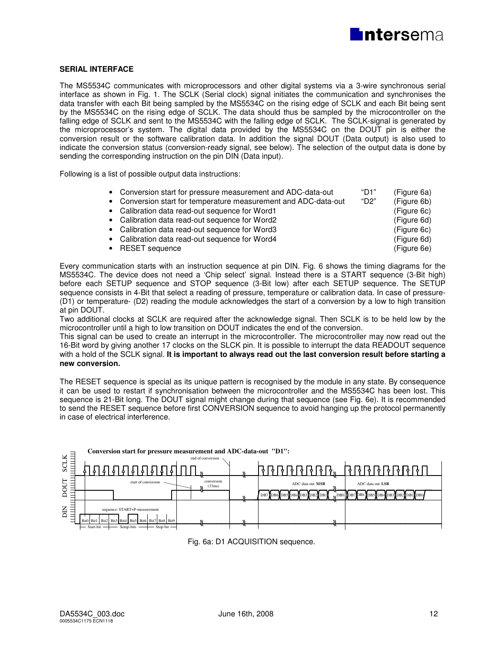

#### **SERIAL INTERFACE**

The MS5534C communicates with microprocessors and other digital systems via a 3-wire synchronous serial interface as shown in Fig. 1. The SCLK (Serial clock) signal initiates the communication and synchronises the data transfer with each Bit being sampled by the MS5534C on the rising edge of SCLK and each Bit being sent by the MS5534C on the rising edge of SCLK. The data should thus be sampled by the microcontroller on the falling edge of SCLK and sent to the MS5534C with the falling edge of SCLK. The SCLK-signal is generated by the microprocessor's system. The digital data provided by the MS5534C on the DOUT pin is either the conversion result or the software calibration data. In addition the signal DOUT (Data output) is also used to indicate the conversion status (conversion-ready signal, see below). The selection of the output data is done by sending the corresponding instruction on the pin DIN (Data input).

Following is a list of possible output data instructions:

| • Conversion start for pressure measurement and ADC-data-out    | "D1" | (Figure 6a) |
|-----------------------------------------------------------------|------|-------------|
| • Conversion start for temperature measurement and ADC-data-out | "D2" | (Figure 6b) |
| • Calibration data read-out sequence for Word1                  |      | (Figure 6c) |
| • Calibration data read-out sequence for Word2                  |      | (Figure 6d) |
| • Calibration data read-out sequence for Word3                  |      | (Figure 6c) |
| • Calibration data read-out sequence for Word4                  |      | (Figure 6d) |
| • RESET sequence                                                |      | (Figure 6e) |

Every communication starts with an instruction sequence at pin DIN. Fig. 6 shows the timing diagrams for the MS5534C. The device does not need a 'Chip select' signal. Instead there is a START sequence (3-Bit high) before each SETUP sequence and STOP sequence (3-Bit low) after each SETUP sequence. The SETUP sequence consists in 4-Bit that select a reading of pressure, temperature or calibration data. In case of pressure- (D1) or temperature- (D2) reading the module acknowledges the start of a conversion by a low to high transition at pin DOUT.

Two additional clocks at SCLK are required after the acknowledge signal. Then SCLK is to be held low by the microcontroller until a high to low transition on DOUT indicates the end of the conversion.

This signal can be used to create an interrupt in the microcontroller. The microcontroller may now read out the 16-Bit word by giving another 17 clocks on the SLCK pin. It is possible to interrupt the data READOUT sequence with a hold of the SCLK signal. **It is important to always read out the last conversion result before starting a new conversion.** 

The RESET sequence is special as its unique pattern is recognised by the module in any state. By consequence it can be used to restart if synchronisation between the microcontroller and the MS5534C has been lost. This sequence is 21-Bit long. The DOUT signal might change during that sequence (see Fig. 6e). It is recommended to send the RESET sequence before first CONVERSION sequence to avoid hanging up the protocol permanently in case of electrical interference.



Fig. 6a: D1 ACQUISITION sequence.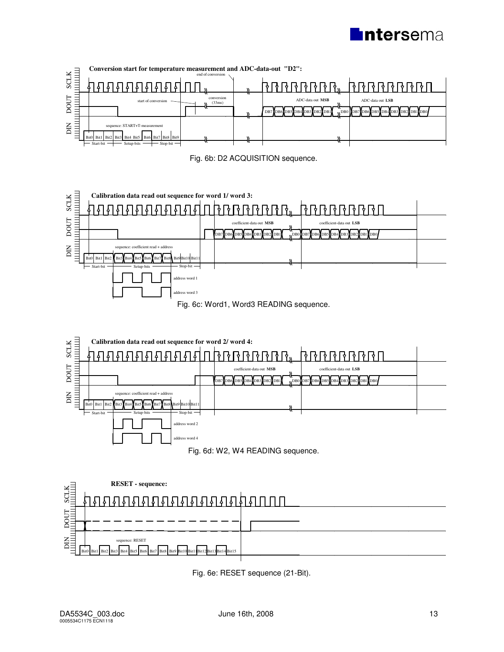















Fig. 6e: RESET sequence (21-Bit).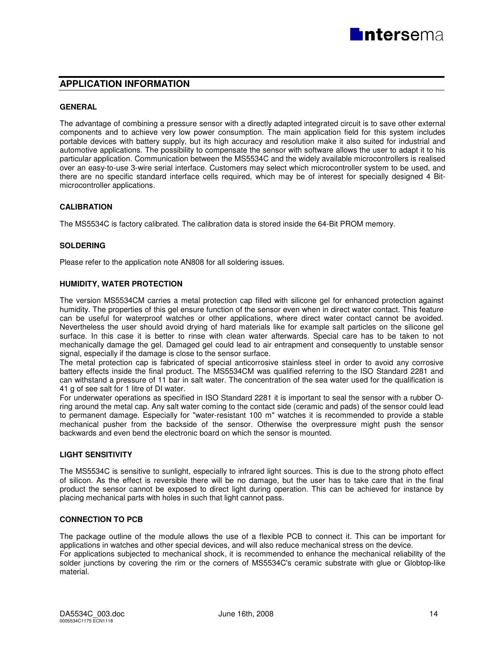## **APPLICATION INFORMATION**

#### **GENERAL**

The advantage of combining a pressure sensor with a directly adapted integrated circuit is to save other external components and to achieve very low power consumption. The main application field for this system includes portable devices with battery supply, but its high accuracy and resolution make it also suited for industrial and automotive applications. The possibility to compensate the sensor with software allows the user to adapt it to his particular application. Communication between the MS5534C and the widely available microcontrollers is realised over an easy-to-use 3-wire serial interface. Customers may select which microcontroller system to be used, and there are no specific standard interface cells required, which may be of interest for specially designed 4 Bitmicrocontroller applications.

#### **CALIBRATION**

The MS5534C is factory calibrated. The calibration data is stored inside the 64-Bit PROM memory.

#### **SOLDERING**

Please refer to the application note AN808 for all soldering issues.

#### **HUMIDITY, WATER PROTECTION**

The version MS5534CM carries a metal protection cap filled with silicone gel for enhanced protection against humidity. The properties of this gel ensure function of the sensor even when in direct water contact. This feature can be useful for waterproof watches or other applications, where direct water contact cannot be avoided. Nevertheless the user should avoid drying of hard materials like for example salt particles on the silicone gel surface. In this case it is better to rinse with clean water afterwards. Special care has to be taken to not mechanically damage the gel. Damaged gel could lead to air entrapment and consequently to unstable sensor signal, especially if the damage is close to the sensor surface.

The metal protection cap is fabricated of special anticorrosive stainless steel in order to avoid any corrosive battery effects inside the final product. The MS5534CM was qualified referring to the ISO Standard 2281 and can withstand a pressure of 11 bar in salt water. The concentration of the sea water used for the qualification is 41 g of see salt for 1 litre of DI water.

For underwater operations as specified in ISO Standard 2281 it is important to seal the sensor with a rubber Oring around the metal cap. Any salt water coming to the contact side (ceramic and pads) of the sensor could lead to permanent damage. Especially for "water-resistant 100 m" watches it is recommended to provide a stable mechanical pusher from the backside of the sensor. Otherwise the overpressure might push the sensor backwards and even bend the electronic board on which the sensor is mounted.

#### **LIGHT SENSITIVITY**

The MS5534C is sensitive to sunlight, especially to infrared light sources. This is due to the strong photo effect of silicon. As the effect is reversible there will be no damage, but the user has to take care that in the final product the sensor cannot be exposed to direct light during operation. This can be achieved for instance by placing mechanical parts with holes in such that light cannot pass.

#### **CONNECTION TO PCB**

The package outline of the module allows the use of a flexible PCB to connect it. This can be important for applications in watches and other special devices, and will also reduce mechanical stress on the device.

For applications subjected to mechanical shock, it is recommended to enhance the mechanical reliability of the solder junctions by covering the rim or the corners of MS5534C's ceramic substrate with glue or Globtop-like material.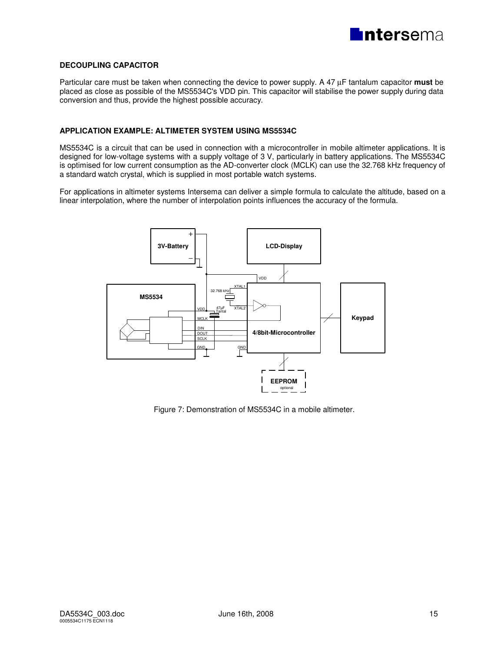

#### **DECOUPLING CAPACITOR**

Particular care must be taken when connecting the device to power supply. A 47 µF tantalum capacitor **must** be placed as close as possible of the MS5534C's VDD pin. This capacitor will stabilise the power supply during data conversion and thus, provide the highest possible accuracy.

### **APPLICATION EXAMPLE: ALTIMETER SYSTEM USING MS5534C**

MS5534C is a circuit that can be used in connection with a microcontroller in mobile altimeter applications. It is designed for low-voltage systems with a supply voltage of 3 V, particularly in battery applications. The MS5534C is optimised for low current consumption as the AD-converter clock (MCLK) can use the 32.768 kHz frequency of a standard watch crystal, which is supplied in most portable watch systems.

For applications in altimeter systems Intersema can deliver a simple formula to calculate the altitude, based on a linear interpolation, where the number of interpolation points influences the accuracy of the formula.



Figure 7: Demonstration of MS5534C in a mobile altimeter.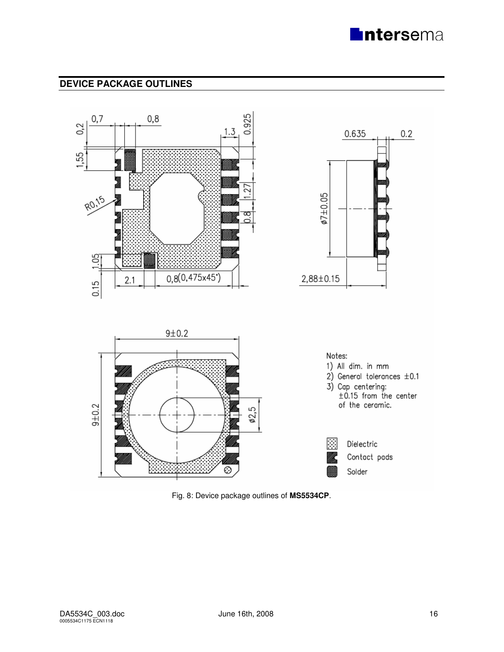

# **DEVICE PACKAGE OUTLINES**



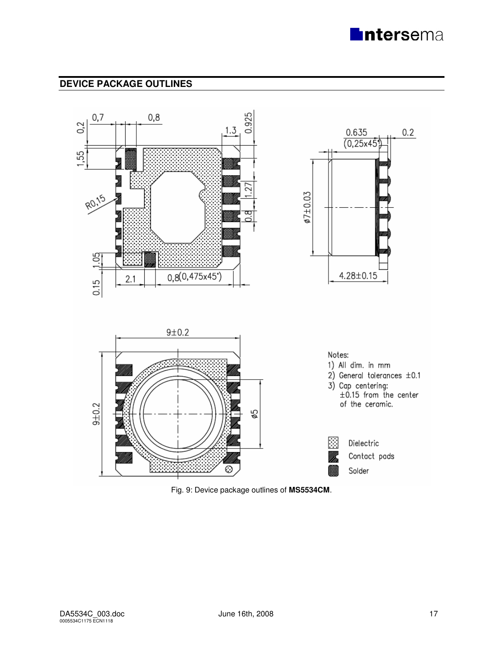

# **DEVICE PACKAGE OUTLINES**



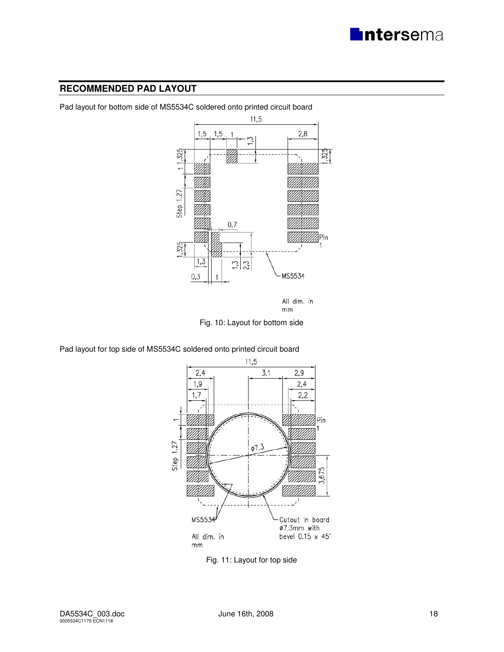

# **RECOMMENDED PAD LAYOUT**



Pad layout for bottom side of MS5534C soldered onto printed circuit board

All dim. in  $mm$ 

Fig. 10: Layout for bottom side

Pad layout for top side of MS5534C soldered onto printed circuit board



Fig. 11: Layout for top side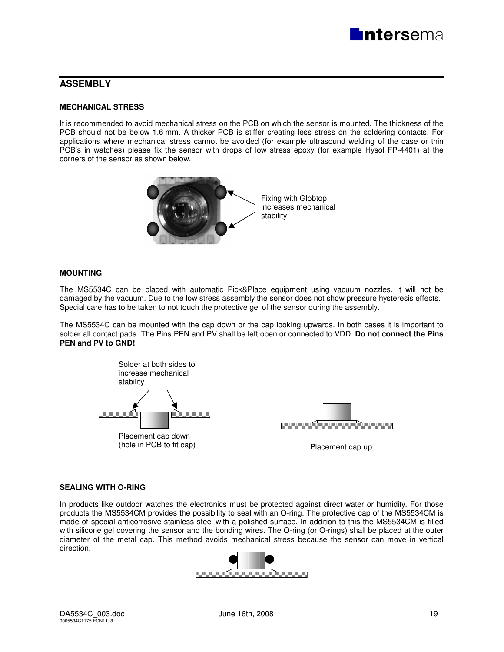

# **ASSEMBLY**

#### **MECHANICAL STRESS**

It is recommended to avoid mechanical stress on the PCB on which the sensor is mounted. The thickness of the PCB should not be below 1.6 mm. A thicker PCB is stiffer creating less stress on the soldering contacts. For applications where mechanical stress cannot be avoided (for example ultrasound welding of the case or thin PCB's in watches) please fix the sensor with drops of low stress epoxy (for example Hysol FP-4401) at the corners of the sensor as shown below.



#### **MOUNTING**

The MS5534C can be placed with automatic Pick&Place equipment using vacuum nozzles. It will not be damaged by the vacuum. Due to the low stress assembly the sensor does not show pressure hysteresis effects. Special care has to be taken to not touch the protective gel of the sensor during the assembly.

The MS5534C can be mounted with the cap down or the cap looking upwards. In both cases it is important to solder all contact pads. The Pins PEN and PV shall be left open or connected to VDD. **Do not connect the Pins PEN and PV to GND!** 



#### **SEALING WITH O-RING**

In products like outdoor watches the electronics must be protected against direct water or humidity. For those products the MS5534CM provides the possibility to seal with an O-ring. The protective cap of the MS5534CM is made of special anticorrosive stainless steel with a polished surface. In addition to this the MS5534CM is filled with silicone gel covering the sensor and the bonding wires. The O-ring (or O-rings) shall be placed at the outer diameter of the metal cap. This method avoids mechanical stress because the sensor can move in vertical direction.

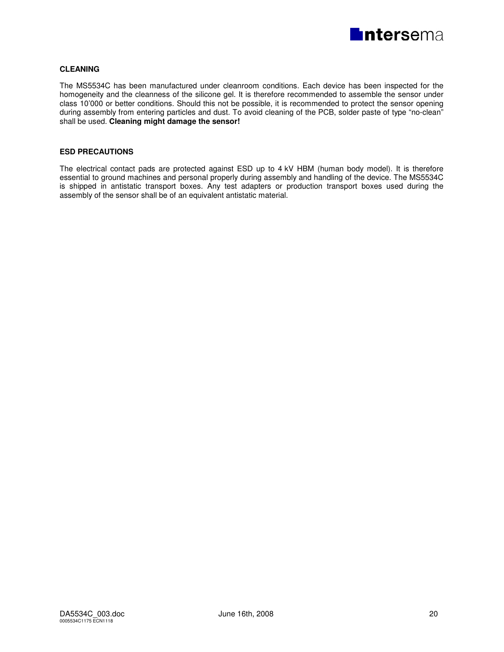

### **CLEANING**

The MS5534C has been manufactured under cleanroom conditions. Each device has been inspected for the homogeneity and the cleanness of the silicone gel. It is therefore recommended to assemble the sensor under class 10'000 or better conditions. Should this not be possible, it is recommended to protect the sensor opening during assembly from entering particles and dust. To avoid cleaning of the PCB, solder paste of type "no-clean" shall be used. **Cleaning might damage the sensor!** 

#### **ESD PRECAUTIONS**

The electrical contact pads are protected against ESD up to 4 kV HBM (human body model). It is therefore essential to ground machines and personal properly during assembly and handling of the device. The MS5534C is shipped in antistatic transport boxes. Any test adapters or production transport boxes used during the assembly of the sensor shall be of an equivalent antistatic material.